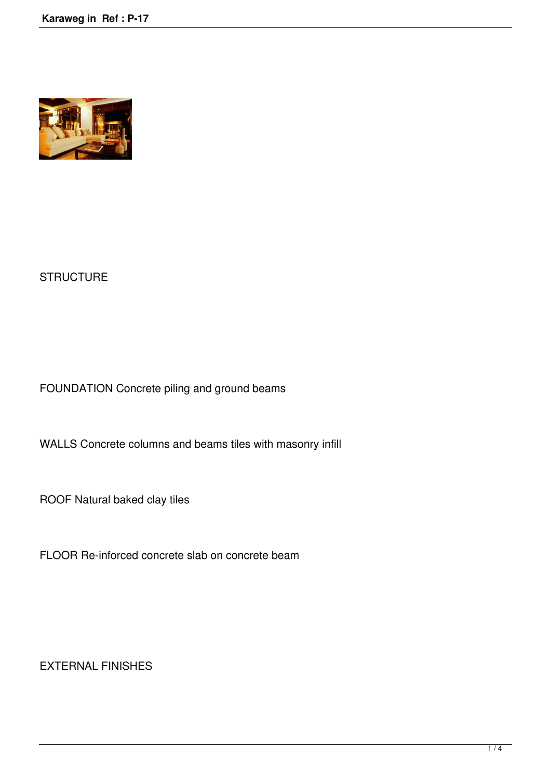

## **STRUCTURE**

FOUNDATION Concrete piling and ground beams

WALLS Concrete columns and beams tiles with masonry infill

ROOF Natural baked clay tiles

FLOOR Re-inforced concrete slab on concrete beam

EXTERNAL FINISHES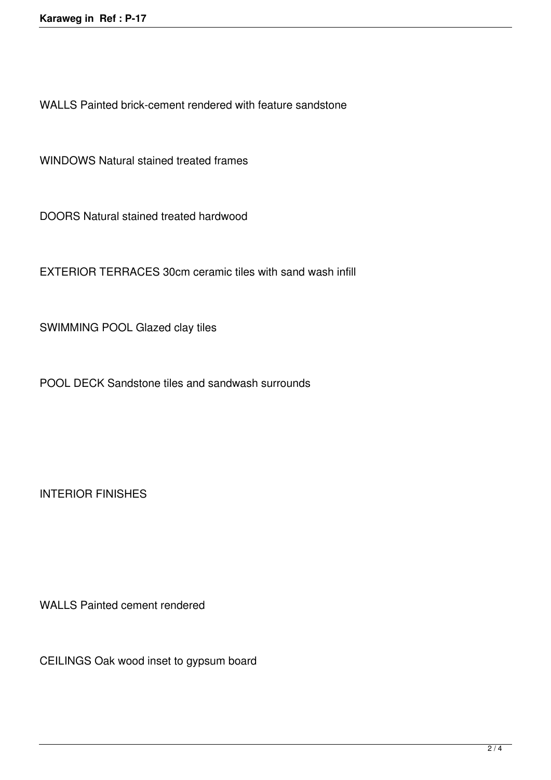WALLS Painted brick-cement rendered with feature sandstone

WINDOWS Natural stained treated frames

DOORS Natural stained treated hardwood

EXTERIOR TERRACES 30cm ceramic tiles with sand wash infill

SWIMMING POOL Glazed clay tiles

POOL DECK Sandstone tiles and sandwash surrounds

INTERIOR FINISHES

WALLS Painted cement rendered

CEILINGS Oak wood inset to gypsum board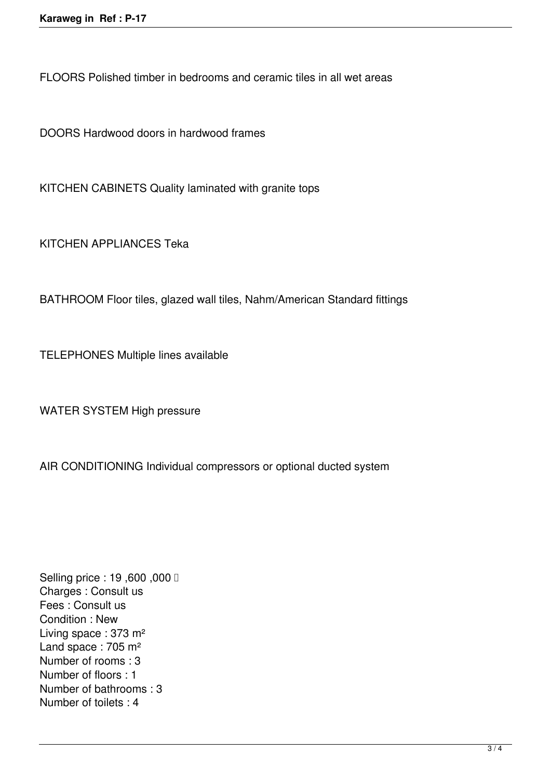FLOORS Polished timber in bedrooms and ceramic tiles in all wet areas

DOORS Hardwood doors in hardwood frames

KITCHEN CABINETS Quality laminated with granite tops

KITCHEN APPLIANCES Teka

BATHROOM Floor tiles, glazed wall tiles, Nahm/American Standard fittings

TELEPHONES Multiple lines available

WATER SYSTEM High pressure

AIR CONDITIONING Individual compressors or optional ducted system

**Selling price : 19,600,000 □** Charges : Consult us Fees : Consult us Condition : New Living space : 373 m² Land space : 705 m<sup>2</sup> Number of rooms : 3 Number of floors : 1 Number of bathrooms : 3 Number of toilets : 4